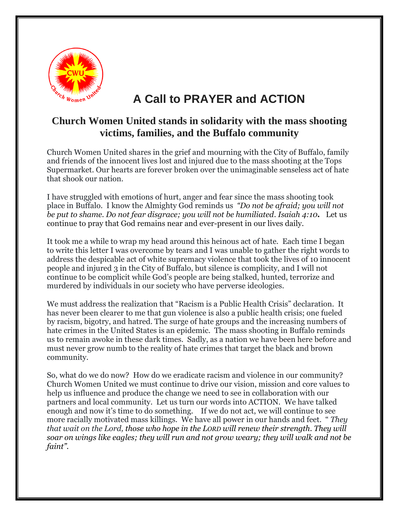

## **A Call to PRAYER and ACTION**

## **Church Women United stands in solidarity with the mass shooting victims, families, and the Buffalo community**

Church Women United shares in the grief and mourning with the City of Buffalo, family and friends of the innocent lives lost and injured due to the mass shooting at the Tops Supermarket. Our hearts are forever broken over the unimaginable senseless act of hate that shook our nation.

I have struggled with emotions of hurt, anger and fear since the mass shooting took place in Buffalo. I know the Almighty God reminds us *"Do not be afraid; you will not be put to shame. Do not fear disgrace; you will not be humiliated. Isaiah 4:10.* Let us continue to pray that God remains near and ever-present in our lives daily.

It took me a while to wrap my head around this heinous act of hate. Each time I began to write this letter I was overcome by tears and I was unable to gather the right words to address the despicable act of white supremacy violence that took the lives of 10 innocent people and injured 3 in the City of Buffalo, but silence is complicity, and I will not continue to be complicit while God's people are being stalked, hunted, terrorize and murdered by individuals in our society who have perverse ideologies.

We must address the realization that "Racism is a Public Health Crisis" declaration. It has never been clearer to me that gun violence is also a public health crisis; one fueled by racism, bigotry, and hatred. The surge of hate groups and the increasing numbers of hate crimes in the United States is an epidemic. The mass shooting in Buffalo reminds us to remain awoke in these dark times. Sadly, as a nation we have been here before and must never grow numb to the reality of hate crimes that target the black and brown community.

So, what do we do now? How do we eradicate racism and violence in our community? Church Women United we must continue to drive our vision, mission and core values to help us influence and produce the change we need to see in collaboration with our partners and local community. Let us turn our words into ACTION. We have talked enough and now it's time to do something. If we do not act, we will continue to see more racially motivated mass killings. We have all power in our hands and feet. " *They that wait on the Lord, those who hope in the LORD will renew their strength. They will soar on wings like eagles; they will run and not grow weary; they will walk and not be faint".*